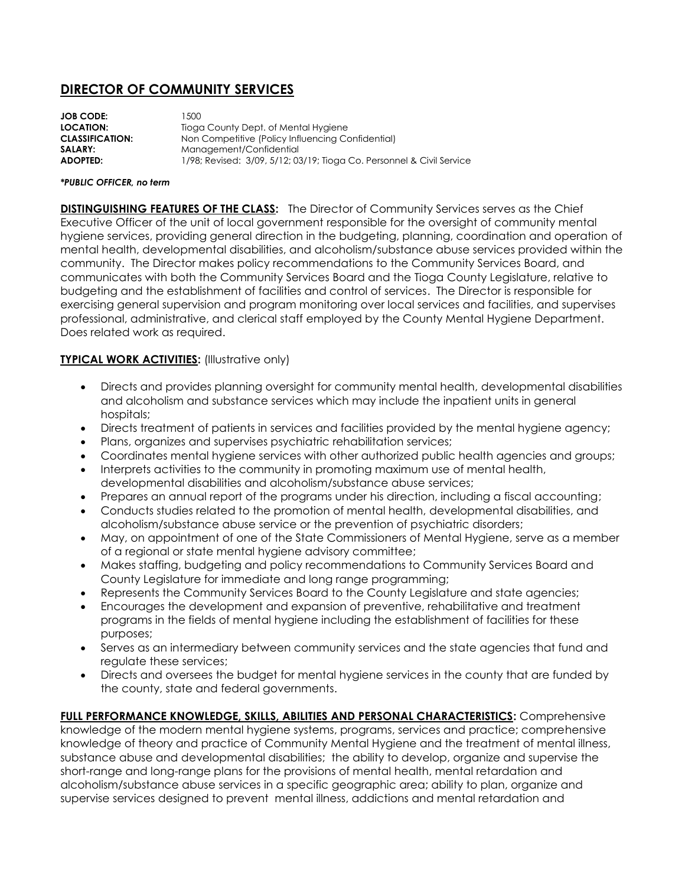# **DIRECTOR OF COMMUNITY SERVICES**

| <b>JOB CODE:</b>       | 500                                                                   |
|------------------------|-----------------------------------------------------------------------|
| <b>LOCATION:</b>       | Tioga County Dept. of Mental Hygiene                                  |
| <b>CLASSIFICATION:</b> | Non Competitive (Policy Influencing Confidential)                     |
| SALARY:                | Management/Confidential                                               |
| <b>ADOPTED:</b>        | 1/98; Revised: 3/09, 5/12; 03/19; Tioga Co. Personnel & Civil Service |
|                        |                                                                       |

#### *\*PUBLIC OFFICER, no term*

**DISTINGUISHING FEATURES OF THE CLASS:** The Director of Community Services serves as the Chief Executive Officer of the unit of local government responsible for the oversight of community mental hygiene services, providing general direction in the budgeting, planning, coordination and operation of mental health, developmental disabilities, and alcoholism/substance abuse services provided within the community. The Director makes policy recommendations to the Community Services Board, and communicates with both the Community Services Board and the Tioga County Legislature, relative to budgeting and the establishment of facilities and control of services. The Director is responsible for exercising general supervision and program monitoring over local services and facilities, and supervises professional, administrative, and clerical staff employed by the County Mental Hygiene Department. Does related work as required.

### **TYPICAL WORK ACTIVITIES:** (Illustrative only)

- Directs and provides planning oversight for community mental health, developmental disabilities and alcoholism and substance services which may include the inpatient units in general hospitals;
- Directs treatment of patients in services and facilities provided by the mental hygiene agency;
- Plans, organizes and supervises psychiatric rehabilitation services;
- Coordinates mental hygiene services with other authorized public health agencies and groups;
- Interprets activities to the community in promoting maximum use of mental health, developmental disabilities and alcoholism/substance abuse services;
- Prepares an annual report of the programs under his direction, including a fiscal accounting;
- Conducts studies related to the promotion of mental health, developmental disabilities, and alcoholism/substance abuse service or the prevention of psychiatric disorders;
- May, on appointment of one of the State Commissioners of Mental Hygiene, serve as a member of a regional or state mental hygiene advisory committee;
- Makes staffing, budgeting and policy recommendations to Community Services Board and County Legislature for immediate and long range programming;
- Represents the Community Services Board to the County Legislature and state agencies;
- Encourages the development and expansion of preventive, rehabilitative and treatment programs in the fields of mental hygiene including the establishment of facilities for these purposes;
- Serves as an intermediary between community services and the state agencies that fund and regulate these services;
- Directs and oversees the budget for mental hygiene services in the county that are funded by the county, state and federal governments.

**FULL PERFORMANCE KNOWLEDGE, SKILLS, ABILITIES AND PERSONAL CHARACTERISTICS:** Comprehensive knowledge of the modern mental hygiene systems, programs, services and practice; comprehensive knowledge of theory and practice of Community Mental Hygiene and the treatment of mental illness, substance abuse and developmental disabilities; the ability to develop, organize and supervise the short-range and long-range plans for the provisions of mental health, mental retardation and alcoholism/substance abuse services in a specific geographic area; ability to plan, organize and supervise services designed to prevent mental illness, addictions and mental retardation and